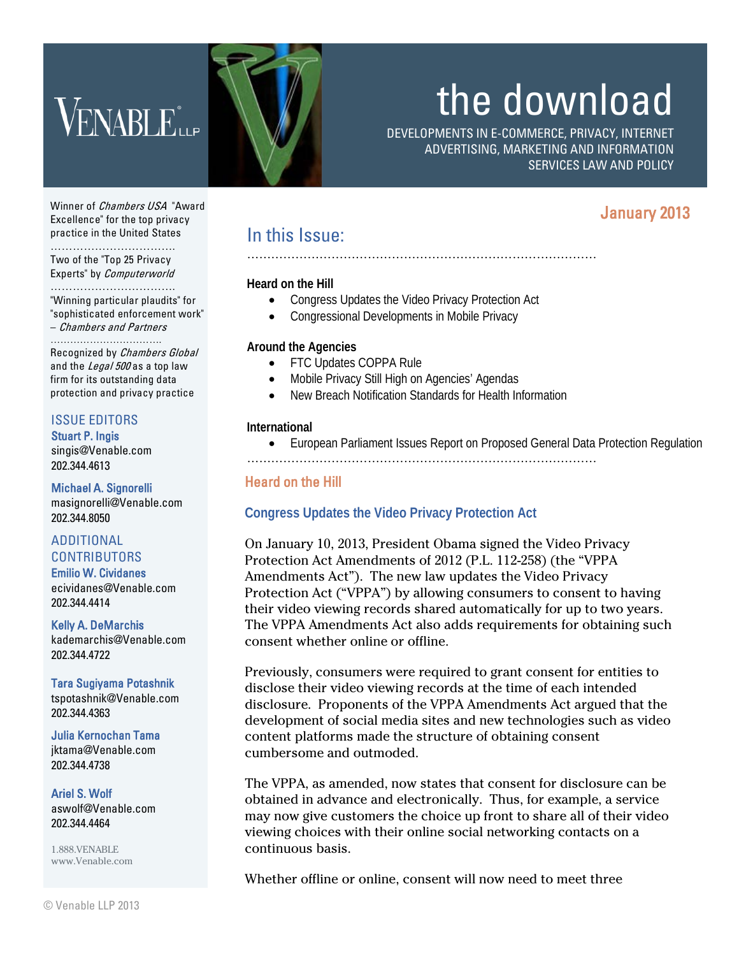# VENABLE<sup>\*</sup>

# the download

DEVELOPMENTS IN E-COMMERCE, PRIVACY, INTERNET ADVERTISING, MARKETING AND INFORMATION SERVICES LAW AND POLICY

# January 2013

Winner of *Chambers USA* "Award Excellence" for the top privacy practice in the United States

……………………………. Two of the "Top 25 Privacy Experts" by Computerworld

………………………………… "Winning particular plaudits" for "sophisticated enforcement work"

– Chambers and Partners …………………………….

Recognized by Chambers Global and the Legal 500 as a top law firm for its outstanding data protection and privacy practice

# ISSUE EDITORS

Stuart P. Ingis [singis@Venable.com](mailto:singis@Venable.com) 202.344.4613

Michael A. Signorelli [masignorelli@Venable.com](mailto:masignorelli@venable.com) 202.344.8050

#### ADDITIONAL **CONTRIBUTORS** Emilio W. Cividanes

[ecividanes@Venable.com](mailto:ecividanes@Venable.com)  202.344.4414

Kelly A. DeMarchis [kademarchis@Venable.com](mailto:jktama@Venable.com) 202.344.4722

Tara Sugiyama Potashnik tspotashnik@Venable.com 202.344.4363

Julia Kernochan Tama [jktama@Venable.com](mailto:jktama@Venable.com) 202.344.4738

Ariel S. Wolf aswolf@Venable.com 202.344.4464

1.888.VENABLE www.Venable.com

# In this Issue:

### **Heard on the Hill**

• Congress Updates the Video Privacy Protection Act

……………………………………………………………………………

• Congressional Developments in Mobile Privacy

### **Around the Agencies**

- FTC Updates COPPA Rule
- Mobile Privacy Still High on Agencies' Agendas
- New Breach Notification Standards for Health Information

### **International**

- European Parliament Issues Report on Proposed General Data Protection Regulation
- ……………………………………………………………………………

## Heard on the Hill

# **Congress Updates the Video Privacy Protection Act**

On January 10, 2013, President Obama signed the Video Privacy Protection Act Amendments of 2012 (P.L. 112-258) (the "VPPA Amendments Act"). The new law updates the Video Privacy Protection Act ("VPPA") by allowing consumers to consent to having their video viewing records shared automatically for up to two years. The VPPA Amendments Act also adds requirements for obtaining such consent whether online or offline.

Previously, consumers were required to grant consent for entities to disclose their video viewing records at the time of each intended disclosure. Proponents of the VPPA Amendments Act argued that the development of social media sites and new technologies such as video content platforms made the structure of obtaining consent cumbersome and outmoded.

The VPPA, as amended, now states that consent for disclosure can be obtained in advance and electronically. Thus, for example, a service may now give customers the choice up front to share all of their video viewing choices with their online social networking contacts on a continuous basis.

Whether offline or online, consent will now need to meet three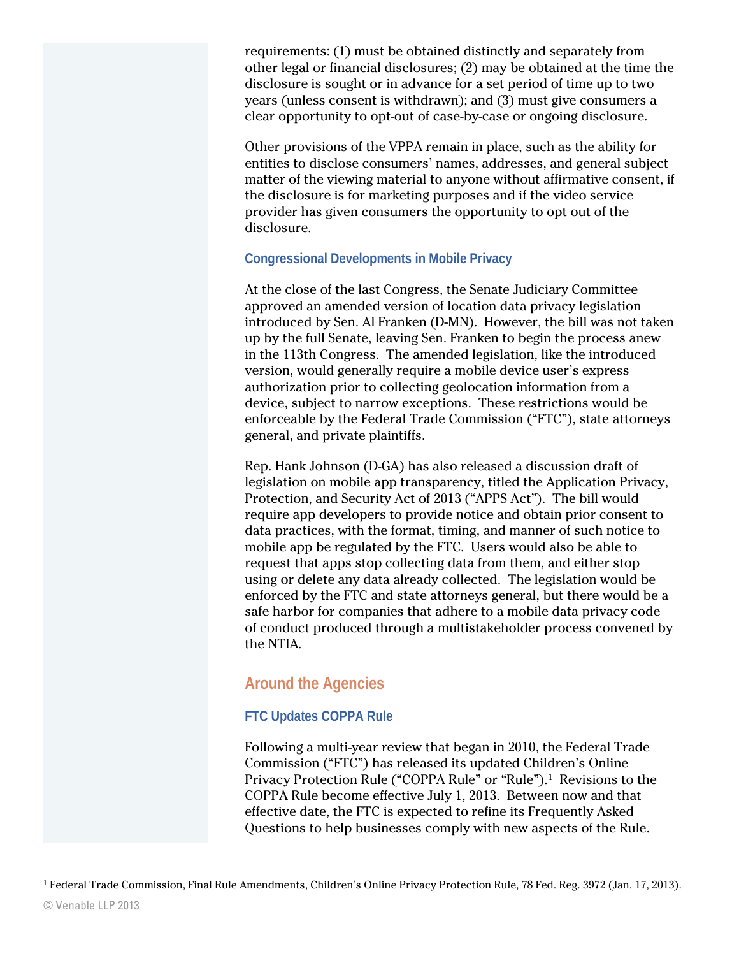requirements: (1) must be obtained distinctly and separately from other legal or financial disclosures; (2) may be obtained at the time the disclosure is sought or in advance for a set period of time up to two years (unless consent is withdrawn); and (3) must give consumers a clear opportunity to opt-out of case-by-case or ongoing disclosure.

Other provisions of the VPPA remain in place, such as the ability for entities to disclose consumers' names, addresses, and general subject matter of the viewing material to anyone without affirmative consent, if the disclosure is for marketing purposes and if the video service provider has given consumers the opportunity to opt out of the disclosure.

### **Congressional Developments in Mobile Privacy**

At the close of the last Congress, the Senate Judiciary Committee approved an amended version of location data privacy legislation introduced by Sen. Al Franken (D-MN). However, the bill was not taken up by the full Senate, leaving Sen. Franken to begin the process anew in the 113th Congress. The amended legislation, like the introduced version, would generally require a mobile device user's express authorization prior to collecting geolocation information from a device, subject to narrow exceptions. These restrictions would be enforceable by the Federal Trade Commission ("FTC"), state attorneys general, and private plaintiffs.

Rep. Hank Johnson (D-GA) has also released a discussion draft of legislation on mobile app transparency, titled the Application Privacy, Protection, and Security Act of 2013 ("APPS Act"). The bill would require app developers to provide notice and obtain prior consent to data practices, with the format, timing, and manner of such notice to mobile app be regulated by the FTC. Users would also be able to request that apps stop collecting data from them, and either stop using or delete any data already collected. The legislation would be enforced by the FTC and state attorneys general, but there would be a safe harbor for companies that adhere to a mobile data privacy code of conduct produced through a multistakeholder process convened by the NTIA.

# **Around the Agencies**

# **FTC Updates COPPA Rule**

Following a multi-year review that began in 2010, the Federal Trade Commission ("FTC") has released its updated Children's Online Privacy Protection Rule ("COPPA Rule" or "Rule").[1](#page-1-0) Revisions to the COPPA Rule become effective July 1, 2013. Between now and that effective date, the FTC is expected to refine its Frequently Asked Questions to help businesses comply with new aspects of the Rule.

 $\overline{a}$ 

<span id="page-1-0"></span><sup>1</sup> Federal Trade Commission, Final Rule Amendments, Children's Online Privacy Protection Rule, 78 Fed. Reg. 3972 (Jan. 17, 2013).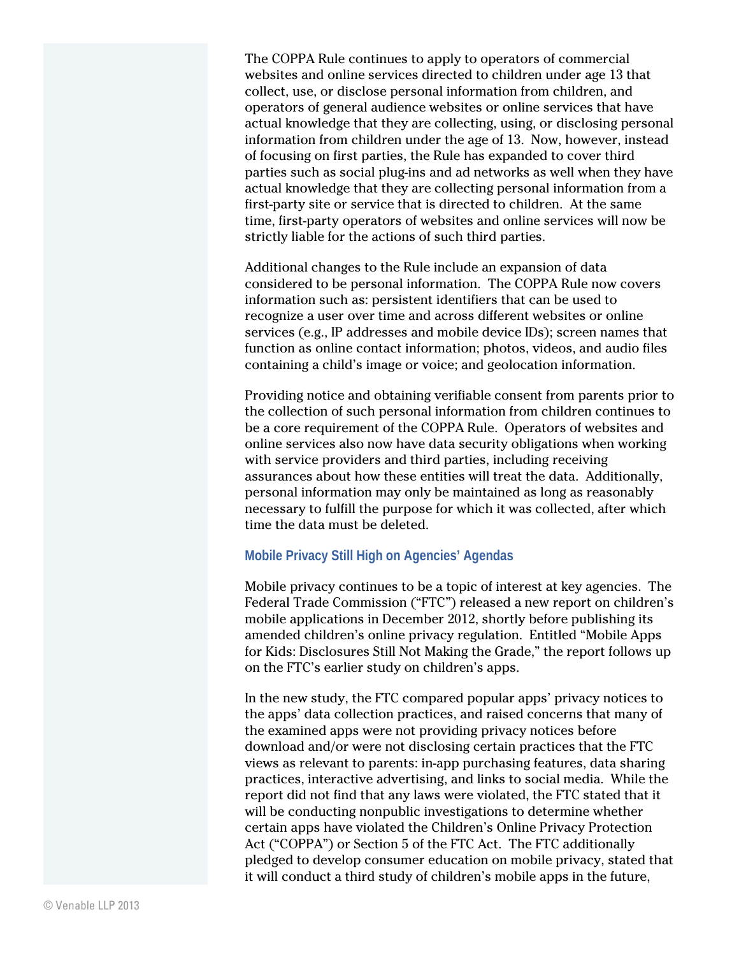The COPPA Rule continues to apply to operators of commercial websites and online services directed to children under age 13 that collect, use, or disclose personal information from children, and operators of general audience websites or online services that have actual knowledge that they are collecting, using, or disclosing personal information from children under the age of 13. Now, however, instead of focusing on first parties, the Rule has expanded to cover third parties such as social plug-ins and ad networks as well when they have actual knowledge that they are collecting personal information from a first-party site or service that is directed to children. At the same time, first-party operators of websites and online services will now be strictly liable for the actions of such third parties.

Additional changes to the Rule include an expansion of data considered to be personal information. The COPPA Rule now covers information such as: persistent identifiers that can be used to recognize a user over time and across different websites or online services (e.g., IP addresses and mobile device IDs); screen names that function as online contact information; photos, videos, and audio files containing a child's image or voice; and geolocation information.

Providing notice and obtaining verifiable consent from parents prior to the collection of such personal information from children continues to be a core requirement of the COPPA Rule. Operators of websites and online services also now have data security obligations when working with service providers and third parties, including receiving assurances about how these entities will treat the data. Additionally, personal information may only be maintained as long as reasonably necessary to fulfill the purpose for which it was collected, after which time the data must be deleted.

#### **Mobile Privacy Still High on Agencies' Agendas**

Mobile privacy continues to be a topic of interest at key agencies. The Federal Trade Commission ("FTC") released a new report on children's mobile applications in December 2012, shortly before publishing its amended children's online privacy regulation. Entitled "Mobile Apps for Kids: Disclosures Still Not Making the Grade," the report follows up on the FTC's earlier study on children's apps.

In the new study, the FTC compared popular apps' privacy notices to the apps' data collection practices, and raised concerns that many of the examined apps were not providing privacy notices before download and/or were not disclosing certain practices that the FTC views as relevant to parents: in-app purchasing features, data sharing practices, interactive advertising, and links to social media. While the report did not find that any laws were violated, the FTC stated that it will be conducting nonpublic investigations to determine whether certain apps have violated the Children's Online Privacy Protection Act ("COPPA") or Section 5 of the FTC Act. The FTC additionally pledged to develop consumer education on mobile privacy, stated that it will conduct a third study of children's mobile apps in the future,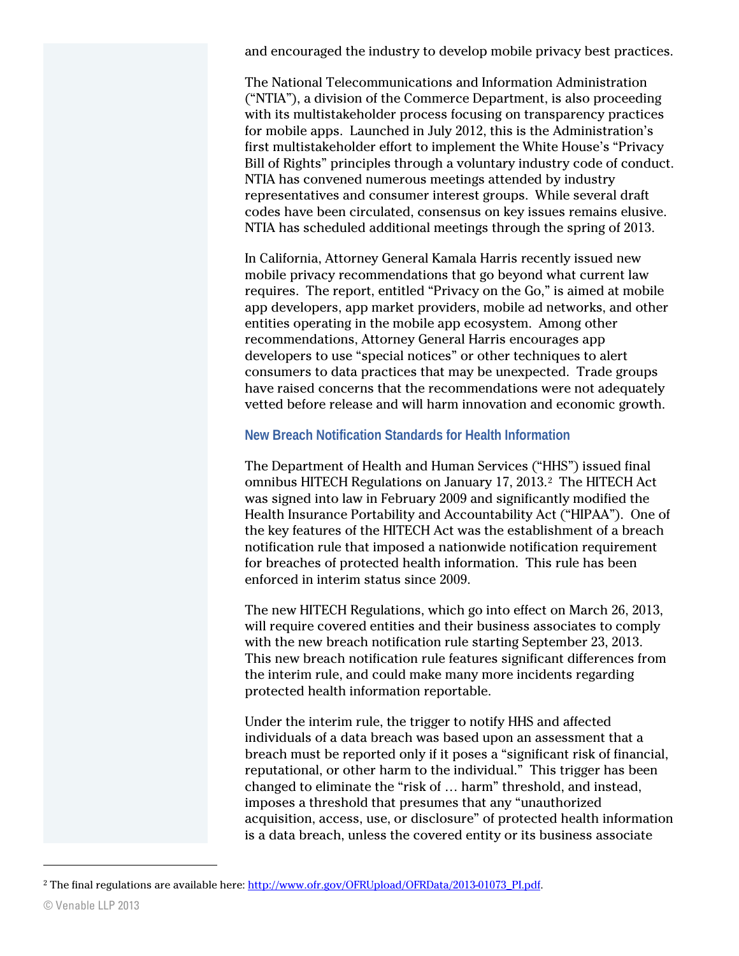and encouraged the industry to develop mobile privacy best practices.

The National Telecommunications and Information Administration ("NTIA"), a division of the Commerce Department, is also proceeding with its multistakeholder process focusing on transparency practices for mobile apps. Launched in July 2012, this is the Administration's first multistakeholder effort to implement the White House's "Privacy Bill of Rights" principles through a voluntary industry code of conduct. NTIA has convened numerous meetings attended by industry representatives and consumer interest groups. While several draft codes have been circulated, consensus on key issues remains elusive. NTIA has scheduled additional meetings through the spring of 2013.

In California, Attorney General Kamala Harris recently issued new mobile privacy recommendations that go beyond what current law requires. The report, entitled "Privacy on the Go," is aimed at mobile app developers, app market providers, mobile ad networks, and other entities operating in the mobile app ecosystem. Among other recommendations, Attorney General Harris encourages app developers to use "special notices" or other techniques to alert consumers to data practices that may be unexpected. Trade groups have raised concerns that the recommendations were not adequately vetted before release and will harm innovation and economic growth.

#### **New Breach Notification Standards for Health Information**

The Department of Health and Human Services ("HHS") issued final omnibus HITECH Regulations on January 17, 2013.[2](#page-3-0) The HITECH Act was signed into law in February 2009 and significantly modified the Health Insurance Portability and Accountability Act ("HIPAA"). One of the key features of the HITECH Act was the establishment of a breach notification rule that imposed a nationwide notification requirement for breaches of protected health information. This rule has been enforced in interim status since 2009.

The new HITECH Regulations, which go into effect on March 26, 2013, will require covered entities and their business associates to comply with the new breach notification rule starting September 23, 2013. This new breach notification rule features significant differences from the interim rule, and could make many more incidents regarding protected health information reportable.

Under the interim rule, the trigger to notify HHS and affected individuals of a data breach was based upon an assessment that a breach must be reported only if it poses a "significant risk of financial, reputational, or other harm to the individual." This trigger has been changed to eliminate the "risk of … harm" threshold, and instead, imposes a threshold that presumes that any "unauthorized acquisition, access, use, or disclosure" of protected health information is a data breach, unless the covered entity or its business associate

 $\overline{a}$ 

<span id="page-3-0"></span><sup>&</sup>lt;sup>2</sup> The final regulations are available here[: http://www.ofr.gov/OFRUpload/OFRData/2013-01073\\_PI.pdf.](http://www.ofr.gov/OFRUpload/OFRData/2013-01073_PI.pdf)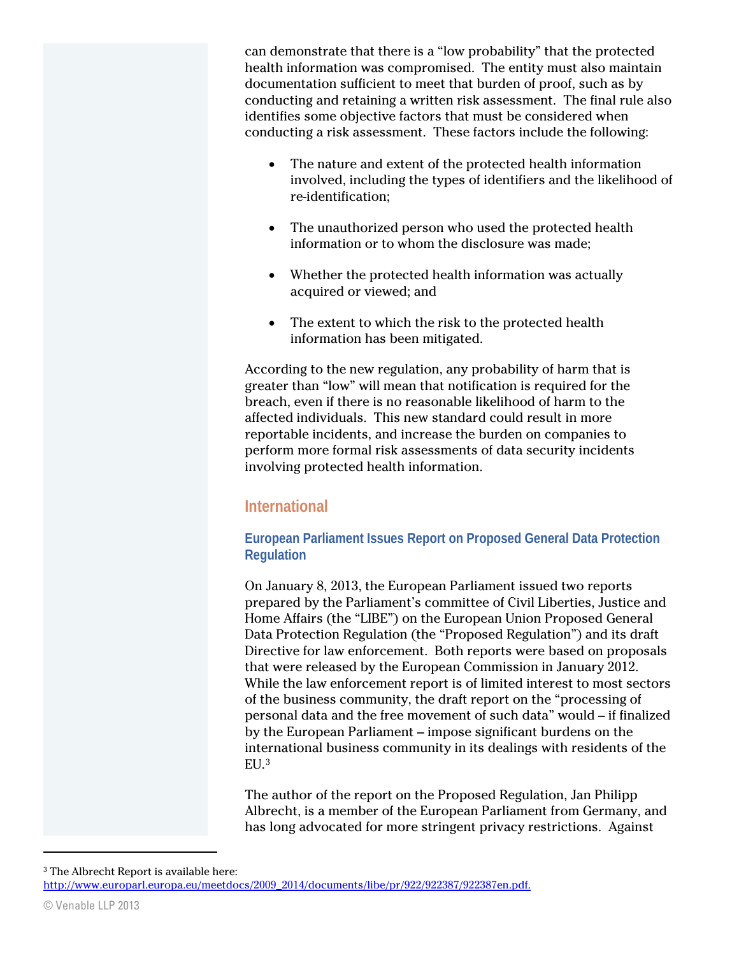can demonstrate that there is a "low probability" that the protected health information was compromised. The entity must also maintain documentation sufficient to meet that burden of proof, such as by conducting and retaining a written risk assessment. The final rule also identifies some objective factors that must be considered when conducting a risk assessment. These factors include the following:

- The nature and extent of the protected health information involved, including the types of identifiers and the likelihood of re-identification;
- The unauthorized person who used the protected health information or to whom the disclosure was made;
- Whether the protected health information was actually acquired or viewed; and
- The extent to which the risk to the protected health information has been mitigated.

According to the new regulation, any probability of harm that is greater than "low" will mean that notification is required for the breach, even if there is no reasonable likelihood of harm to the affected individuals. This new standard could result in more reportable incidents, and increase the burden on companies to perform more formal risk assessments of data security incidents involving protected health information.

# **International**

### **European Parliament Issues Report on Proposed General Data Protection Regulation**

On January 8, 2013, the European Parliament issued two reports prepared by the Parliament's committee of Civil Liberties, Justice and Home Affairs (the "LIBE") on the European Union Proposed General Data Protection Regulation (the "Proposed Regulation") and its draft Directive for law enforcement. Both reports were based on proposals that were released by the European Commission in January 2012. While the law enforcement report is of limited interest to most sectors of the business community, the draft report on the "processing of personal data and the free movement of such data" would – if finalized by the European Parliament – impose significant burdens on the international business community in its dealings with residents of the EU.[3](#page-4-0) 

The author of the report on the Proposed Regulation, Jan Philipp Albrecht, is a member of the European Parliament from Germany, and has long advocated for more stringent privacy restrictions. Against

 $\overline{a}$ 

<span id="page-4-0"></span><sup>3</sup> The Albrecht Report is available here: [http://www.europarl.europa.eu/meetdocs/2009\\_2014/documents/libe/pr/922/922387/922387en.pdf.](http://www.europarl.europa.eu/meetdocs/2009_2014/documents/libe/pr/922/922387/922387en.pdf.)